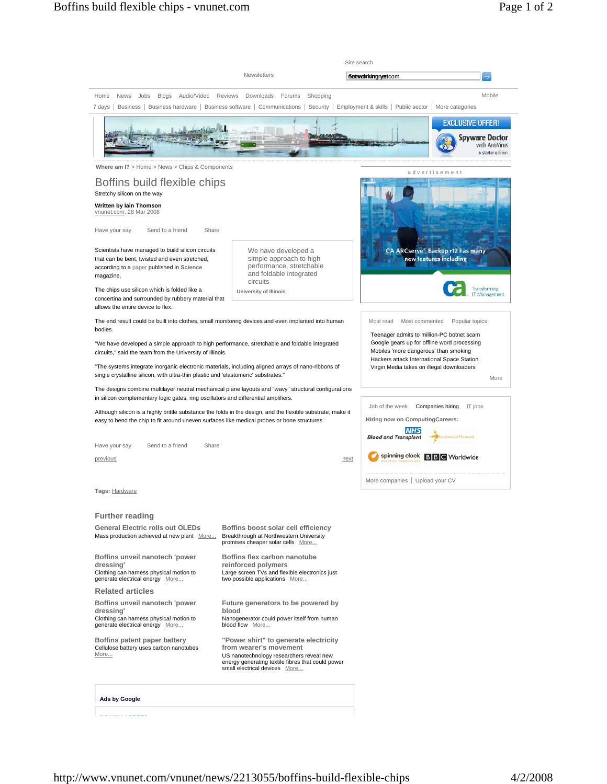